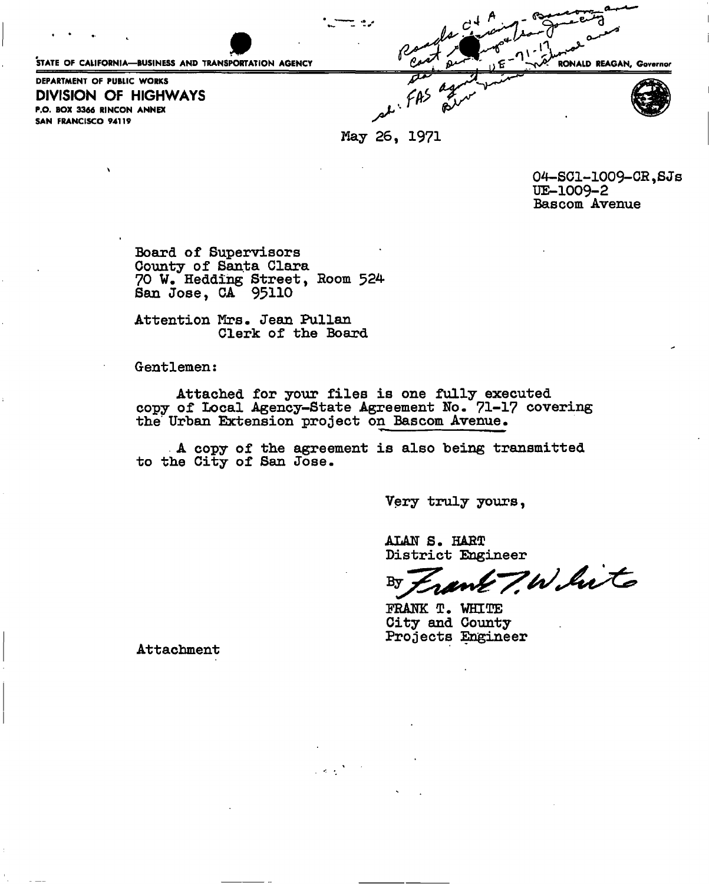STATE OF CALIFORNIA—BUSINESS AND TRANSPORTATION AGENCY **RONALD REAGAN, Governor** DEPARTMENT OF PUBLIC WORKS **DIVISION OF HIGHWAYS**  P.O. BOX 3366 RINCON ANNEX SAN FRANCISCO 94119

May 26, 1971

04—SC1-1009-CR,SJs UE-1009-2 Bascom Avenue

Board of Supervisors County of Santa Clara 70 W. Hedding Street, Room 524 San Jose, CA 95110

Attention Mrs. Jean Pullan Clerk of the Board

Gentlemen:

Attached for your files is one fully executed copy of Local Agency-State Agreement No. 71-17 covering the Urban Extension project on Bascom Avenue.

A copy of the agreement is also being transmitted to the City of San Jose.

Very truly yours,

ALAN S. HARD District Engineer

7.White

PRANK T. WHITE City and County Projects Engineer

Attachment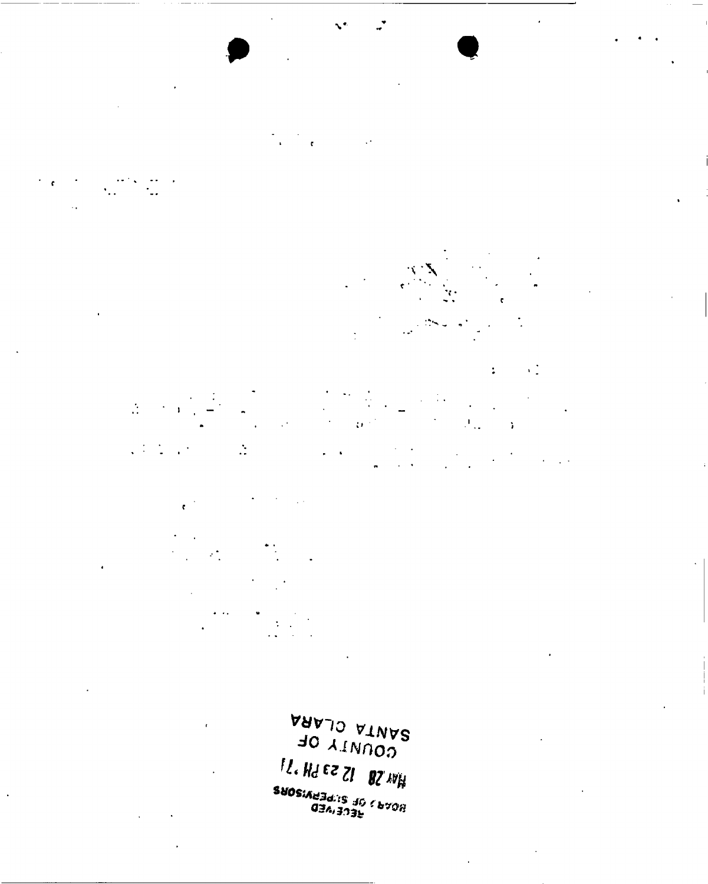



۰.



 $\ddot{\phantom{a}}$ 

 $\chi_{\rm{eff}}^{\rm{th}}$ a ta 1990<br>Tanzania  $\frac{d\mu}{d\sigma^2} = \frac{1}{\sigma^2} \frac{d\mu}{d\sigma^2}$  $\frac{1}{\sqrt{2}}$  $\sim 10^{11}$  $\bar{\mathbf{r}}$  $\{A_{12},\ldots,A_{n}\}$ 

 $\sqrt{1/2}$  ,  $\sqrt{1/2}$  ,  $\sqrt{2}$  $\omega_{\rm{max}}$  $\sim$  .



vavi o VINVS  $J0 \lambda$ INOOA *n.m^z i* **8 »**  *SUOSiAtfBdtS iiO fbvon*  03 A,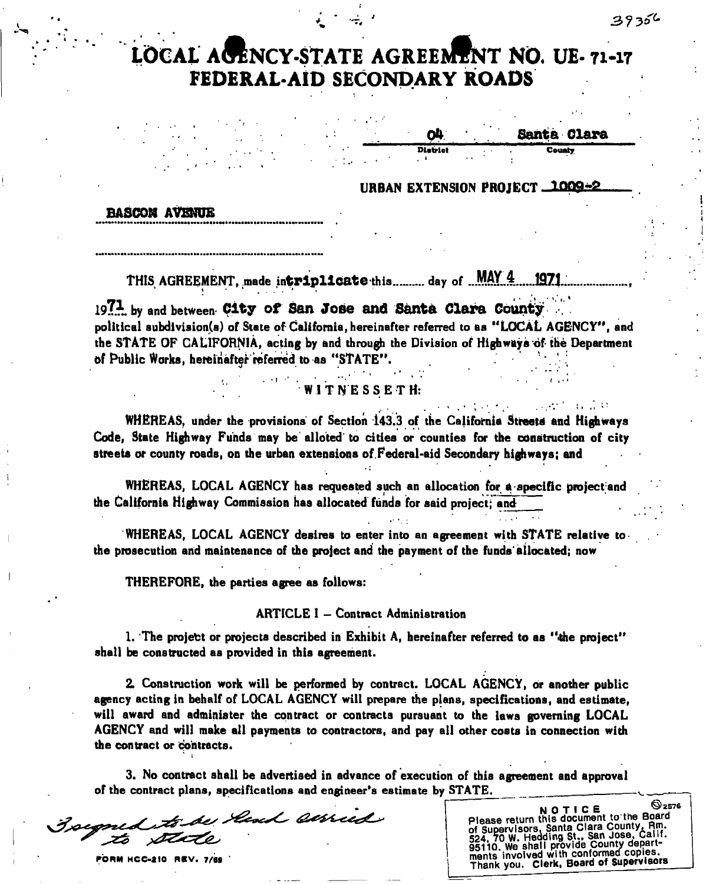1 •.

## **LOCAL AGENCY-STATE AGREEMENT NO. UE- 71-17 FEDERAL-AID SECONDARY ROADS**

Santa Clara District

URBAN EXTENSION PROJECT 1009+2

## **BASCOM AVENUE**

THIS AGREEMENT, made intriplicate this .......... day of ... MAY 4 1971...

**197\*.** by and between **City of San Jose and Santa Clara County**  political subdivision^) of State of California, hereinafter referred to as "LOCAL AGENCY", and the STATE OF CALIFORNIA, acting by and through the Division of Highways of the Department of Public Works, hereinafter referred to as "STATE".

## WITNESSETH:

WHEREAS, under the provisions of Section 143.3 of the California Streets and Highways Code, State Highway Funds may be alloted to cities or counties for the construction of city streets or county roads, on the urban extensions of.Federal-aid Secondary highways; and

WHEREAS, LOCAL AGENCY has requested such an allocation for a specific project and the California Highway Commission has allocated funds for said project; and

WHEREAS, LOCAL AGENCY desires to enter into an agreement with STATE relative to the prosecution and maintenance of the project and the payment of the funds'allocated; now

THEREFORE, the parties agree as follows:

## ARTICLE I - Contract Administration

1. The projett or projects described in Exhibit A, hereinafter referred to as "the project" shall be constructed as provided in this agreement.

2. Construction work will be performed by contract. LOCAL AGENCY, or another public agency acting in behalf of LOCAL AGENCY will prepare the plans, specifications, and estimate, will award and administer the contract or contracts pursuant to the laws governing LOCAL AGENCY and will make all payments to contractors, and pay all other costs in connection with the contract or contracts.

3. No contract shall be advertised in advance of execution of this agreement and approval of the contract plans, specifications and engineer's estimate by STATE.

Goegned to be head served

Thank you. Clerk, Board of Supervisors NOTICE <sup>2576</sup> Please return this document to the Board Please return this subsidiary County, Rm.<br>of Supervisors, Santa Clara County, Rm.<br>524, 70 W. Hedding St., San Jose, Calif. 0. We shall provide County departments involved with conformed copies.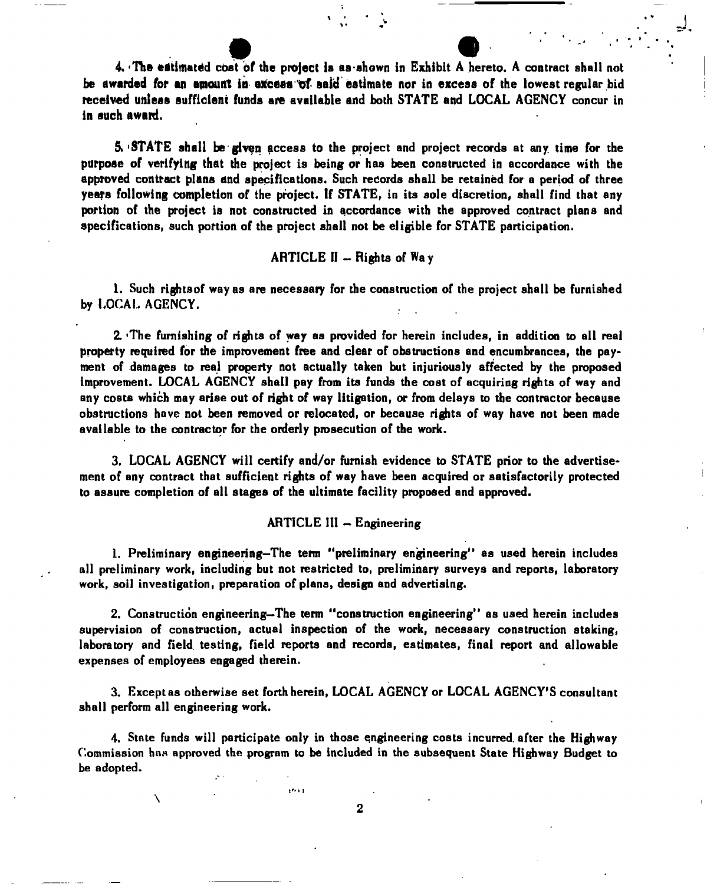**4. 'The etftlmatdd coat of the project Is as-shown in Exhibit A hereto. A contract shall not**  be awarded for an amount in excess of said estimate nor in excess of the lowest regular bid **received unless sufficient funds are available and both STATE and LOCAL AGENCY concur in in such award.** 

*\* • i

*\* 

 $5.9$  STATE shall be given access to the project and project records at any time for the purpose of verifying that the project is being or has been constructed in accordance with the approved contract plans and specifications. Such records shall be retained for a period of three years following completion of the project. If STATE, in its sole discretion, shall find that any portion of the project is not constructed in accordance with the approved contract plans and specifications, such portion of the project shall not be eligible for STATE participation.

## ARTICLE  $II -$ Rights of Way

1. Such rightsof way as are necessary for the construction of the project shall be furnished by LOCAL AGENCY.

2. 'The furnishing of rights of way as provided for herein includes, in addition to all real property required for the improvement free and clear of obstructions and encumbrances, the payment of damages to real property not actually taken but injuriously affected by the proposed improvement. LOCAL AGENCY shall pay from its funds the cost of acquiring rights of way and any costs which may arise out of right of way litigation, or from delays to the contractor because obstructions have not been removed or relocated, or because rights of way have not been made available to the contractor for the orderly prosecution of the work.

3. LOCAL AGENCY will certify and/or furnish evidence to STATE prior to the advertisement of any contract that sufficient rights of way have been acquired or satisfactorily protected to assure completion of all stages of the ultimate facility proposed and approved.

### ARTICLE III  $-$  Engineering

1. Preliminary engineering-The term "preliminary engineering" as used herein includes all preliminary work, including but not restricted to, preliminary surveys and reports, laboratory work, soil investigation, preparation of plans, design and advertising.

2. Construction engineering-The term "construction engineering" as used herein includes supervision of construction, actual inspection of the work, necessary construction staking, laboratory and field testing, field reports and records, estimates, final report and allowable expenses of employees engaged therein.

3. Except as otherwise set forth herein, LOCAL AGENCY or LOCAL AGENCY'S consultant shall perform all engineering work.

4. State funds will participate only in those engineering costs incurred, after the Highway Commission has approved the program to be included in the subsequent State Highway Budget to be adopted.

 $\overline{\mathbf{r}^{*}}$  is  $\overline{\mathbf{r}}$ 

N

 $\overline{2}$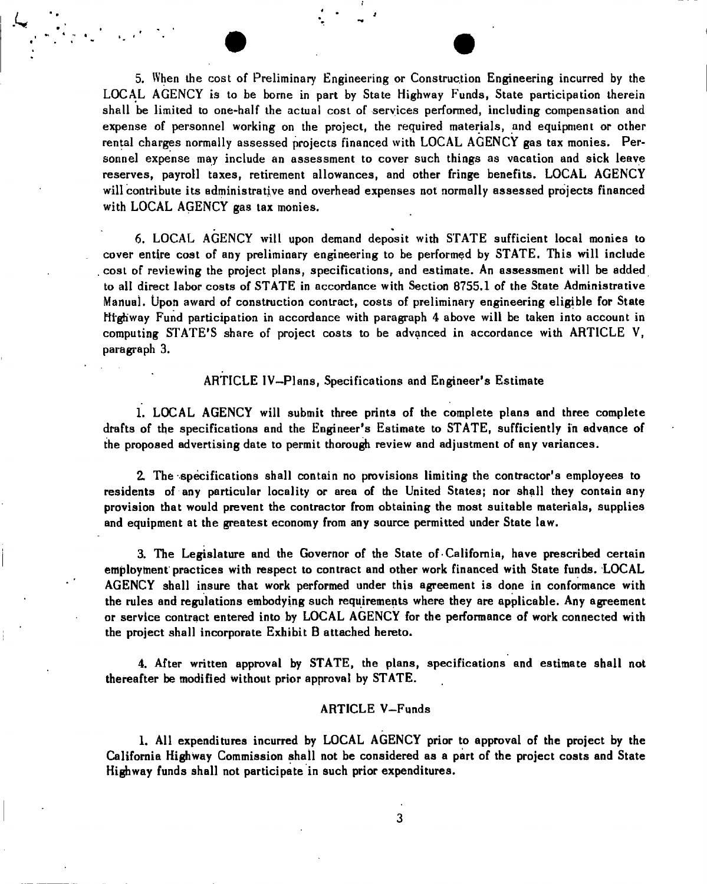5. When the cost of Preliminary Engineering or Construction Engineering incurred by the LOCAL AGENCY is to be borne in part by State Highway Funds, State participation therein shall be limited to one-half the actual cost of services performed, including compensation and expense of personnel working on the project, the required materials, and equipment or other rental charges normally assessed projects financed with LOCAL AGENCY gas tax monies. Personnel expense may include an assessment to cover such things as vacation and sick leave reserves, payroll taxes, retirement allowances, and other fringe benefits. LOCAL AGENCY will contribute its administrative and overhead expenses not normally assessed projects financed with LOCAL AGENCY gas tax monies.

6. LOCAL AGENCY will upon demand deposit with STATE sufficient local monies to cover entire cost of any preliminary engineering to be performed by STATE. This will include cost of reviewing the project plans, specifications, and estimate. An assessment will be added to all direct labor costs of STATE in accordance with Section 8755.1 of the State Administrative Manual. Upon award of construction contract, costs of preliminary engineering eligible for State Highway Fund participation in accordance with paragraph 4 above will be taken into account in computing STATE'S share of project costs to be advanced in accordance with ARTICLE V, paragraph 3.

ARTICLE IV—Plans, Specifications and Engineer's Estimate

1. LOCAL AGENCY will submit three prints of the complete plans and three complete drafts of the specifications and the Engineer's Estimate to STATE, sufficiently in advance of the proposed advertising date to permit thorough review and adjustment of any variances.

2. The-specifications shall contain no provisions limiting the contractor's employees to residents of any particular locality or area of the United States; nor shall they contain any provision that would prevent the contractor from obtaining the most suitable materials, supplies and equipment at the greatest economy from any source permitted under State law.

3. The Legislature and the Governor of the State of California, have prescribed certain employment practices with respect to contract and other work financed with State funds. LOCAL AGENCY shall insure that work performed under this agreement is done in conformance with the rules and regulations embodying such requirements where they are applicable. Any agreement or service contract entered into by LOCAL AGENCY for the performance of work connected with the project shall incorporate Exhibit B attached hereto.

4. After written approval by STATE, the plans, specifications and estimate shall not thereafter be modified without prior approval by STATE.

## ARTICLE V—Funds

1. All expenditures incurred by LOCAL AGENCY prior to approval of the project by the California Highway Commission shall not be considered as a part of the project costs and State Highway funds shall not participate in such prior expenditures.

3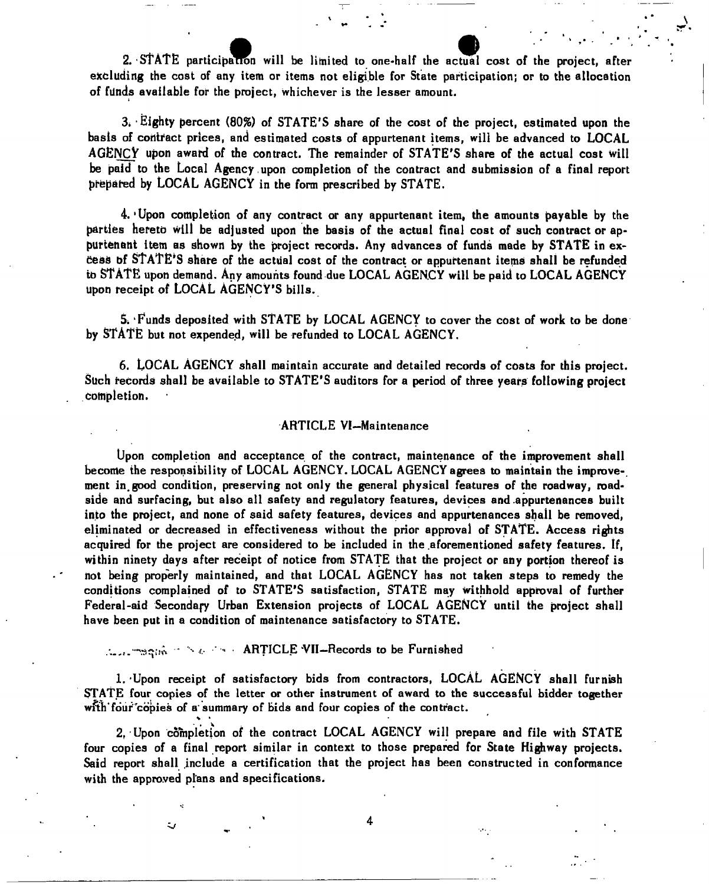2. STATE participation will be limited to one-half the actual cost of the project, after excluding the cost of any item or items not eligible for State participation; or to the allocation of filnds available for the project, whichever is the lesser amount.

 $3.$  Eighty percent (80%) of STATE'S share of the cost of the project, estimated upon the basis of contract prices, and estimated costs of appurtenant items, will be advanced to LOCAL AGENCY upon award of the contract. The remainder of STATE'S share of the actual cost will be paid to the Local Agency , upon completion of the contract and submission of a final report prepared by LOCAL AGENCY in the form prescribed by STATE.

4. 'Upon completion of any contract or any appurtenant item, the amounts payable by the parties hereto will be adjusted upon the basis of the actual final cost of such contract or appurtenant item as shown by the project records. Any advances of funds made by STATE in ex-Cess of STATE'S share of the actual cost of the contract or appurtenant items shall be refunded to STATE upon demand. Any amounts found due LOCAL AGENCY will be paid to LOCAL AGENCY upon receipt of LOCAL AGENCY'S bills.

5. Funds deposited with STATE by LOCAL AGENCY to cover the cost of work to be done by STATE but not expended, will be refunded to LOCAL AGENCY.

6. LOCAL AGENCY shall maintain accurate and detailed records of costs for this project. Such records shall be available to STATE'S auditors for a period of three years following project completion.

#### ARTICLE VI—Maintenance

Upon completion and acceptance of the contract, maintenance of the improvement shall become the responsibility of LOCAL AGENCY. LOCAL AGENCY agrees to maintain the improve-, ment in.good condition, preserving not only the general physical features of the roadway, roadside and surfacing, but also all safety and regulatory features, devices and .appurtenances built into the project, and none of said safety features, devices and appurtenances shall be removed, eliminated or decreased in effectiveness without the prior approval of STATE. Access rights acquired for the project are considered to be included in the aforementioned safety features. If, within ninety days after receipt of notice from STATE that the project or any portion thereof is not being properly maintained, and that LOCAL AGENCY has not taken steps to remedy the conditions complained of to STATE'S satisfaction, STATE may withhold approval of further Federal-aid Secondary Urban Extension projects of LOCAL AGENCY until the project shall have been put in a condition of maintenance satisfactory to STATE.

-teading the Society - ARTICLE VII-Records to be Furnished

ر:

1. Upon receipt of satisfactory bids from contractors, LOCAL AGENCY shall furnish STATE four copies of the letter or other instrument of award to the successful bidder together with four copies of a summary of bids and four copies of the contract.

2. Upon completion of the contract LOCAL AGENCY will prepare and file with STATE four copies of a final report similar in context to those prepared for State Highway projects. Said report shall include a certification that the project has been constructed in conformance with the approved plans and specifications.

4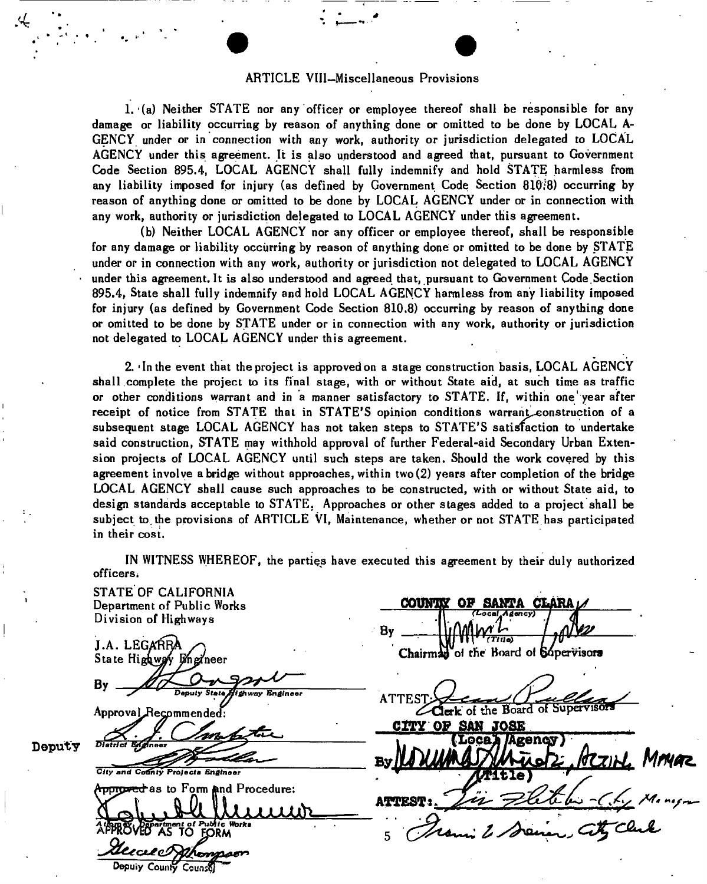### ARTICLE VlII-Miscellaneous Provisions

<u>.</u>4

1. (a) Neither STATE nor any officer or employee thereof shall be responsible for any damage or liability occurring by reason of anything done or omitted to be done by LOCAL A-GENCY under or in connection with any work, authority or jurisdiction delegated to LOCAL AGENCY under this agreement. It is also understood and agreed that, pursuant to Government Code Section 895.4, LOCAL AGENCY shall fully indemnify and hold STATE harmless from any liability imposed for injury (as defined by Government Code Section  $810:8$ ) occurring by reason of anything done or omitted to be done by LOCAL AGENCY under or in connection with any work, authority or jurisdiction delegated to LOCAL AGENCY under this agreement.

(b) Neither LOCAL AGENCY nor any officer or employee thereof, shall be responsible for any damage or liability occurring by reason of anything done or omitted to be done by STATE under or in connection with any work, authority or jurisdiction not delegated to LOCAL AGENCY under this agreement.lt is also understood and agreed that, pursuant to Government Code.Section 895.4, State shall fully indemnify and hold LOCAL AGENCY harmless from any liability imposed for injury (as defined by Government Code Section 810.8) occurring by reason of anything done or omitted to be done by STATE under or in connection with any work, authority or jurisdiction not delegated to LOCAL AGENCY under this agreement.

2. 'In the event that the project is approved on a stage construction basis, LOCAL AGENCY shall complete the project to its final stage, with or without State aid, at such time as traffic or other conditions warrant and in a manner satisfactory to STATE. If, within one' year after receipt of notice from STATE that in STATE'S opinion conditions warrant construction of a subsequent stage LOCAL AGENCY has not taken steps to STATE'S satisfaction to undertake said construction, STATE may withhold approval of further Federal-aid Secondary Urban Extension projects of LOCAL AGENCY until such steps are taken. Should the work covered by this agreement involve abridge without approaches, within two(2) years after completion of the bridge LOCAL AGENCY shall cause such approaches to be constructed, with or without State aid, to design standards acceptable to STATE. Approaches or other stages added to a project shall be subject to the provisions of ARTICLE VI, Maintenance, whether or not STATE has participated in their cost.

IN WITNESS WHEREOF, the parties have executed this agreement by their duly authorized officers i

STATE OF CALIFORNIA **OF SANTA**  Department of Public Works *(Local Agency)*  Division of Highways Bv *(Titia)*  J.A. LEG Chairman of the Board of Supervisors State Highway Engineer *Deputy State/fifr way Engineer*  **ATTEST**  $C$ Clerk of the Board of Supervisor Approval Recommended: **CITY OF SAN JOSE** Loca<sub>A</sub> /Agency Deputy Diatrict .•H^feyfer/ ^ *ton\*\*.*  City and County Projects Engineer it 16) **pproved** as to Form and Procedure: **ATTEST** \_ iftjhjtJMUULfo *-A 4bmS< JSSpartment of Pubtlc Works*  APPROVHTAS TO EPRM 5 Dopuly County Counse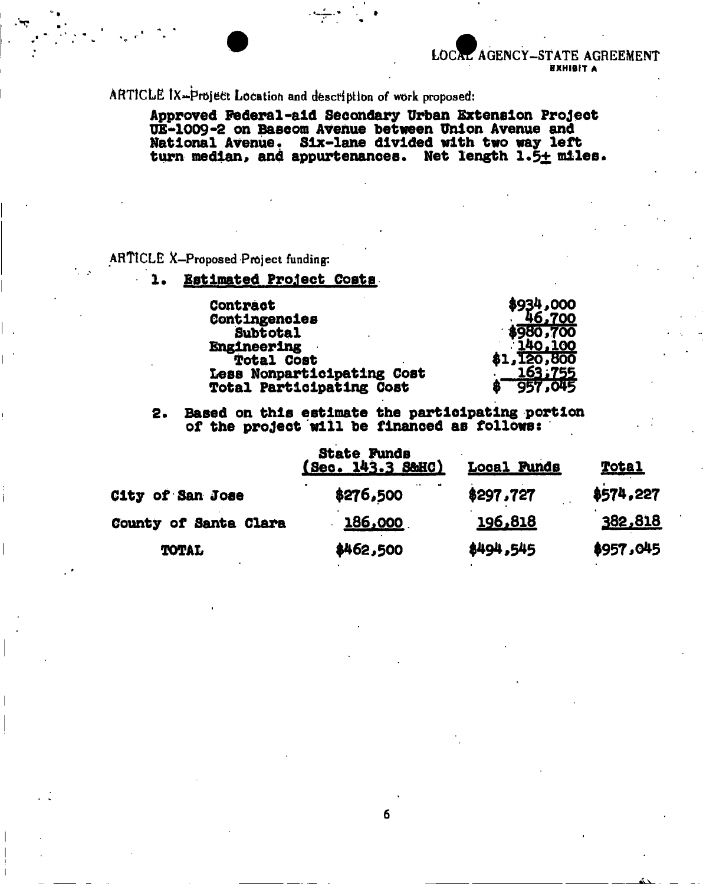**LOCAL AGENCY-STATE AGREEMENT** EXHIBIT A

ARTICLE IX-Project Location and description of work proposed:

**Approved Federal-aid Secondary Urban Extension Project UE-1009-2 on Bascom Avenue between Union Avenue and National Avenue. Six-lane divided vlth two way left**  turn median, and appurtenances. Net length 1.5<u>+</u> miles.

## ARTICLE X—Proposed Project funding:

**W**

## **!• Estimated Project Costa**

| Contract                        | \$934,000   |
|---------------------------------|-------------|
| Contingencies                   | 46,700      |
| <b>Subtotal</b>                 | $*980,700$  |
| <b>Engineering</b>              | 140,100     |
| <b>Total Cost</b>               | \$1,120,800 |
| Less Nonparticipating Cost      | 163,755     |
| <b>Total Participating Cost</b> | 957,045     |

## **2. Based on this estimate the participating portion of the project will be flnanoed as follows:**

|                         | <b>State Funds</b><br>(Sec. 143.3 S&HC) | <b>Local Funds</b> | <u>Total</u> |  |
|-------------------------|-----------------------------------------|--------------------|--------------|--|
| <b>City of San Jose</b> | \$276,500                               | \$297,727          | \$574,227    |  |
| County of Santa Clara   | 186,000                                 | 196,818            | 382,818      |  |
| <b>TOTAL</b>            | \$462,500                               | \$494,545          | \$957,045    |  |

6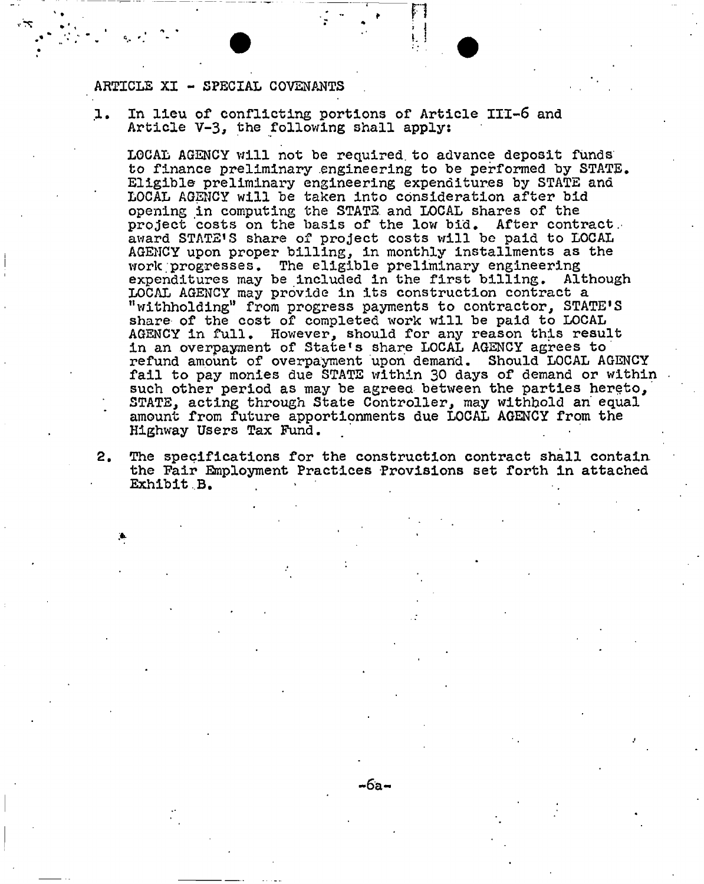## ARTICLE XI - SPECIAL COVENANTS

1. In lieu of conflicting portions of Article III-6 and Article V-3, the following shall apply:

LOCAL AGENCY will not be required, to advance deposit funds to finance preliminary engineering to be performed by STATE. Eligible- preliminary engineering expenditures by STATE and LOCAL AGENCY will be taken into consideration after bid opening in computing the STATE, and LOCAL shares of the project costs on the basis of the low bid. After contract, award STATE'S share of project costs will be paid to LOCAL AGENCY upon proper billing, in monthly installments as the work progresses. The eligible preliminary engineering<br>expenditures may be included in the first billing. Although expenditures may be included in the first billing. LOCAL AGENCY may provide in its construction contract a "withholding" from progress payments to contractor, STATE<sup>1</sup>S share of the cost of completed work will be paid to LOCAL AGENCY in full. However, should for any reason this result in an overpayment of State's share LOCAL AGENCY agrees to refund amount of overpayment upon demand. Should LOCAL AGENCY fail to pay monies due STATE within 30 days of demand or within such other period as may be agreed between the parties hereto, STATE, acting through State Controller, may withhold an' equal amount from future apportionments due LOCAL AGENCY from the Highway Users Tax Fund.

2. The specifications for the construction contract shall contain, the Pair Employment Practices Provisions set forth in attached Exhibit B.

**-6a-**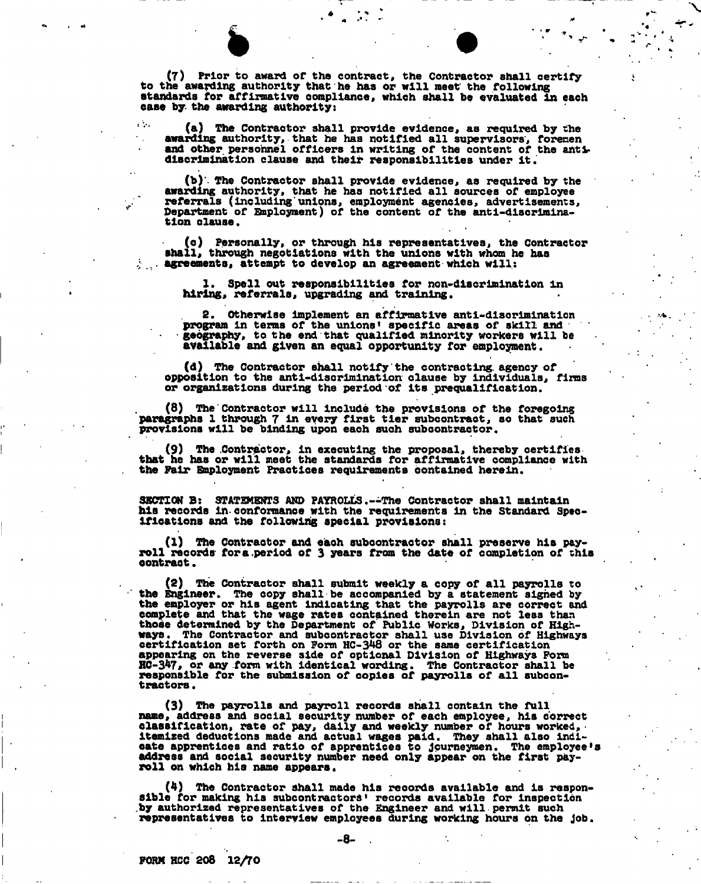(7) Prior to award of the contract, the Contractor shall certify to the awarding authority that he has or will meet the following standards for affirmative compliance, which shall be evaluated in each ease by. the awarding authority:

 $\mathbf{A}$ 

(a) The Contractor shall provide evidence, as required by the awarding authority, that he has notified all supervisors, forenen and other personnel officers In writing of the content of the antt discrimination clause and their responsibilities under It.

(b)'- The Contractor shall provide evidence, as required by the awarding authority, that he has notified all sources of employee referrals (including'unions, employment agencies, advertisements. Department of Bnployment) of the content of the anti-discrimination olause,

(o) Personally, or through his representatives, the Contractor shall, through negotiations with the unions with whom he has  $\therefore$  agreements, attempt to develop an agreement which will:

1, Spell out responsibilities for non-dlscrlmlnatlon in hiring, referrals, upgrading and training.

2. Otherwise Implement an affirmative anti-discrimination program in terms of the unions' specific areas of skill and • geography, to the end that qualified minority workers will be available and given an equal opportunity for employment.

(d) The Contractor shall notify the contracting, agency of opposition to the anti-dlscrlmlnatlon clause by Individuals, firms or organizations during the period of its prequallflcatlon.

(8) The Contractor will include the provisions of the foregoing paragraphs 1 through 7 in every first tier subcontract, so that such provisions will be binding upon each such subcontractor.

(9) The Contractor, In executing the proposal, thereby certifies that he has or will meet the standards for affirmative compliance with the Fair Baployment Practices requirements oontalned herein.

SECTION B: STATEMENTS AND PAYROLLS.--The Contractor shall maintain his records in-conformance with the requirements in the Standard Specifications and the following special provisions:

(1) The Contractor and eaoh subcontractor shall preserve his payroll records for a.period of 3 years from the date of completion of this oontraot.

(2) The Contractor shall submit weekly a copy of all payrolls to the Engineer. The copy shall be accompanied by a statement sighed by the employer or his agent indicating that the payrolls are correct and complete and that the wage rates contained therein are not less than those determined by the Department of Public Works, Division of Highways. The Contractor and subcontractor shall use Division of Highways certification set forth on Form HC-348 or the same certification appearing on the reverse side of optional Division of Highways Form HC-347, or any form with identical wording. The Contractor shall be responsible for the submission of copies of payrolls of all subcontractors •

(3) The payrolls and payroll records shall contain the full name, address and social seourlty number of each employee, his correct classification, rate of pay, daily and weekly number of hours worked, Itemized deductions made and actual wages paid. They shall also inciloate apprentices and ratio of apprentices to journeymen. The employee \*s address and social security number need only appear on the first payroll on which his name appears.

(4) The Contractor shall made his records available and is responsible for making his subcontractors' records available for inspection .by authorized representatives of the Engineer and will permit such representatives to interview employees during working hours on the Job.

-8-

FORM HCC 208 12/70

 $\sim$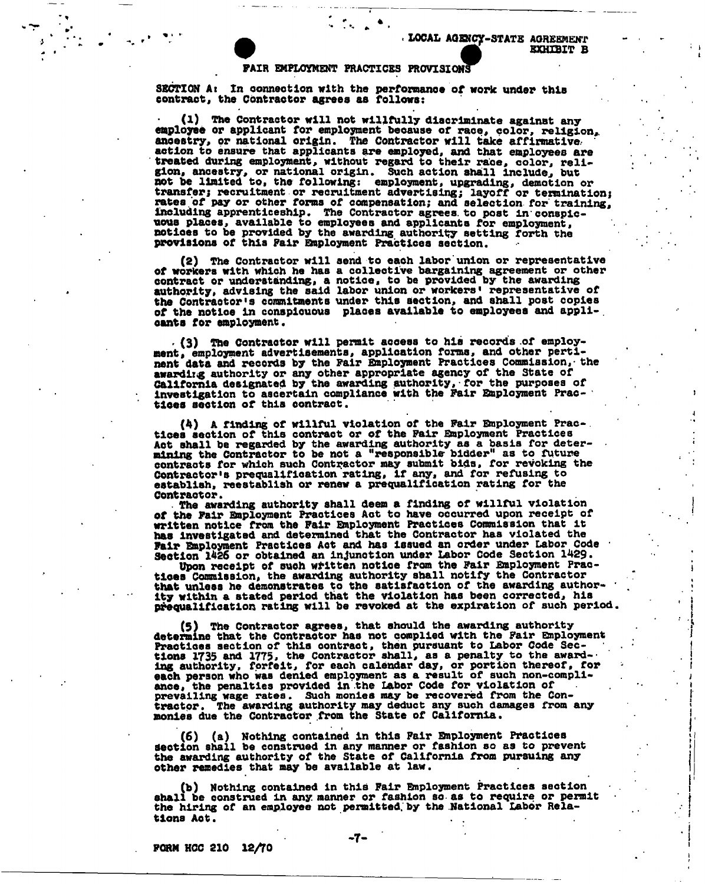#### PAIR EMPLOYMENT PRACTICES PROVISIONS

ra 1996.<br>Rođenja pod Santa Santa Santa Santa Santa Santa Santa Santa Santa Santa Santa Santa Santa Santa Santa Santa S

SECTION At In connection with the performance of work under this contract, the Contractor agrees aa follows:

(1) The Contractor will not willfully discriminate against any employee or applicant for employment because of race, color, religion, ancestry, or national origin. The Contractor will take affirmative, action to ensure that applicants are employed, and that employees are treated during employment, without regard to their race, color, religion, ancestry, or national origin. Such action shall include, but not be limited to, the following: employment, upgrading, demotion or transfer; recruitment or recruitment advertising; layoff or termination; rates of pay or other forms of compensation; and selection for training. Including apprenticeship. The Contractor agrees, to post In conspicuous places, available to employees and applicants for employment, notloes to be provided by the awarding authority setting forth the provisions of this Pair Employment Practices section.

(2) The Contractor will send to each labor'unlon or representative of workers with which he haa a collective bargaining agreement or other contract or understanding, a notice, to be provided by the awarding<br>authority, advising the said labor union or workers' representative of the Contractor's commitments under this Section, and shall post copies of the notloe in conspicuous places available to employees and appll-. oants for employment.

. (3) The Contractor will permit access to his records of employment, employment advertisements, application forms, and other pertinent data and records by the Fair Bnployment Practices Commission, • the awarding authority or any other appropriate agency of the State of California designated by the awarding authority, for the purposes of investigation to ascertain compliance with the Fair Employment Practices section of this contract.

(4) A finding of willful violation of the Fair Employment Prac-. tlcea section of this contract or of the Fair Snployment Practices Act shall be regarded by the awarding authority as a basis for determining the Contractor to be not a "responsible bidder" as to future contracts for which such Contractor may submit bids, for revoking the Contractor's prequalification rating, if any, and for refusing to establish, reestablish or renew a prequalificatlon rating for the Contractor.

• The awarding authority shall deem a finding of willful violation of the Fair Employment Practices Act to have occurred upon receipt of written notice from the Fair Employment Practices Commission that it has investigated and determined that the Contractor has violated the Fair Employment Practices Act and has Issued an order under Labor Code Section 1426 or obtained an injunction under Labor Code Section 1429.

Upon receipt of such written notloe from the Fair Employment Practices Commission, the awarding authority shall notify the Contractor that unless he demonstrates to the satisfaction of the awarding authority within a stated period that the violation has been corrected, his prequalification rating will be revoked at the expiration of such period.

(5) The Contractor agrees, that should the awarding authority determine that the Contractor has not complied with the Fair Employment Practices section of this contract, then pursuant to Labor Code Sections 1735 and 1775, the Contractor shall, as a penalty to the awarding authority, forfeit, for each calendar day, or portion thereof, for each person who was denied employment as a result of such non-compliance, the penalties provided in the Labor Code for violation of prevailing wage rates. Such monies may be recovered from the Contractor. The awarding authority may deduct any such damages from any monies due the Contractor from the State of California.

(6) (a) Nothing contained in this Fair Employment Practices Section shall be construed in any manner or fashion so as to prevent the awarding authority of the State of California from pursuing any other remedies that may be available at law.

(b) Nothing contained in this Fair Employment Practices section shall be construed in any manner or fashion so- as to require or permit the hiring of an employee not permitted, by the National Labor Relations Aot.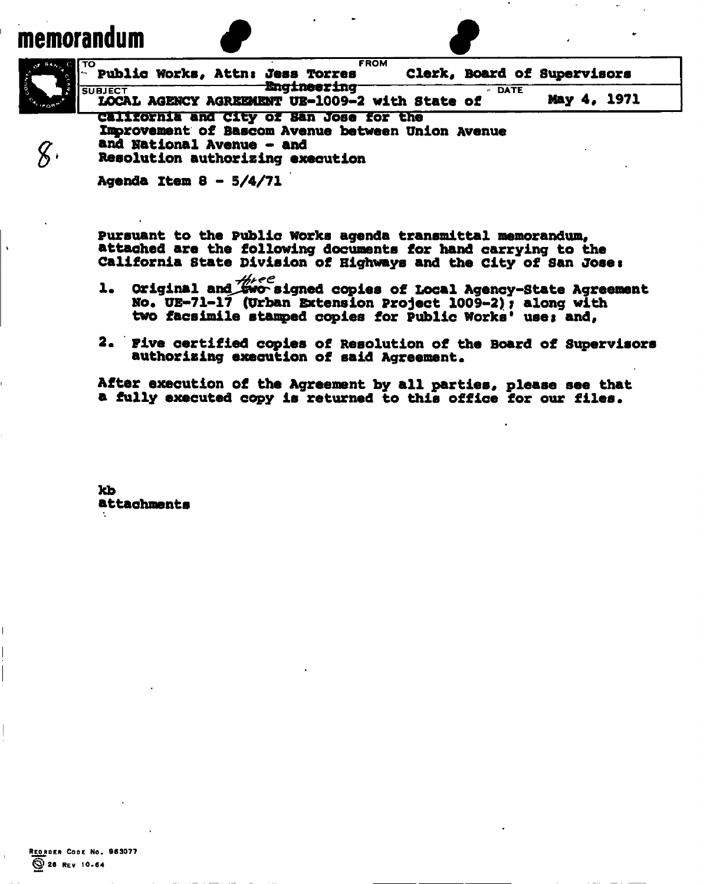# memorandum



**Pursuant to the Public Works agenda transmittal memorandum, attached are the following documents for hand carrying to the California State Division of Highways and the city of San Joset** 

- **1.** Original and  $\frac{\mathcal{H} \mu ee}{\mathbf{a} \mathbf{v} \mathbf{c}}$  signed copies of Local Agency-State Agreement **No\* UE-71-17 (Urban Extension Project 1009-2) y along with two facsimile stamped copies for public Works<sup>1</sup> usei and,**
- **2\* Five certified copies of Resolution of the Board of Supervisors**  authorizing execution of said Agreement.

**After execution of the Agreement by all parties, please see that**  a fully executed copy is returned to this office for our files.

**kb attachments**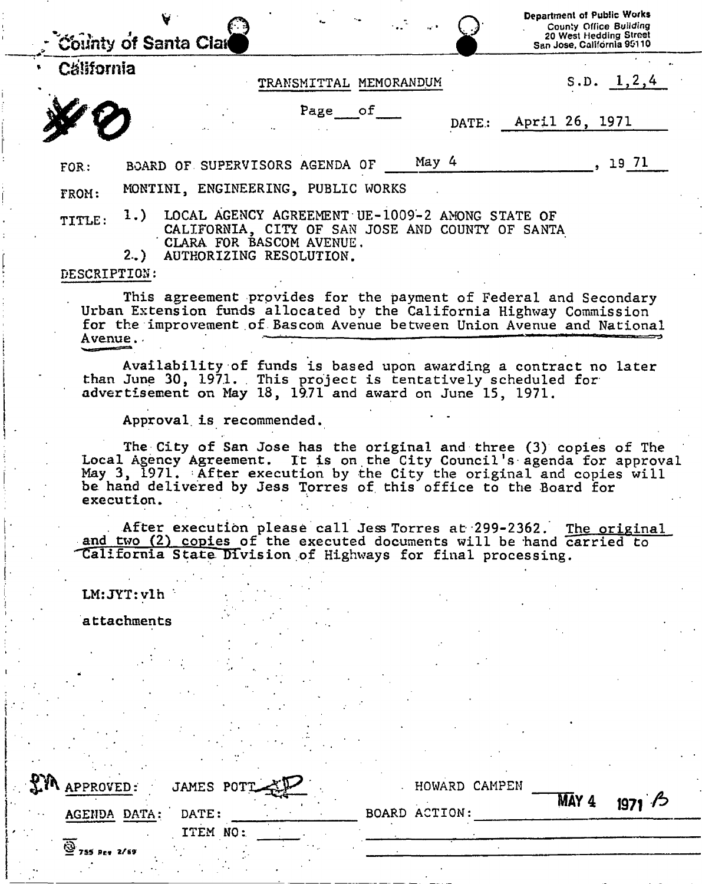|                        | <b>County of Santa Clar</b>                                                                                                                                                                                                                                                               |                        |                      |               | Department of Public Works<br>County Office Building<br>20 West Hedding Street<br>San Jose, California 95110 |                |
|------------------------|-------------------------------------------------------------------------------------------------------------------------------------------------------------------------------------------------------------------------------------------------------------------------------------------|------------------------|----------------------|---------------|--------------------------------------------------------------------------------------------------------------|----------------|
| <b>California</b>      |                                                                                                                                                                                                                                                                                           |                        |                      |               |                                                                                                              |                |
|                        |                                                                                                                                                                                                                                                                                           | TRANSMITTAL MEMORANDUM |                      |               |                                                                                                              | S.D. $1, 2, 4$ |
|                        |                                                                                                                                                                                                                                                                                           | Page of                |                      | DATE:         | April 26, 1971                                                                                               |                |
| FOR:                   | BOARD OF SUPERVISORS AGENDA OF                                                                                                                                                                                                                                                            |                        | May 4                |               |                                                                                                              | 19 71          |
| FROM:                  | MONTINI, ENGINEERING, PUBLIC WORKS                                                                                                                                                                                                                                                        |                        |                      |               |                                                                                                              |                |
| TITLE:<br>DESCRIPTION: | 1.) LOCAL AGENCY AGREEMENT UE-1009-2 AMONG STATE OF<br>CALIFORNIA, CITY OF SAN JOSE AND COUNTY OF SANTA<br>CLARA FOR BASCOM AVENUE.<br>2.) AUTHORIZING RESOLUTION.                                                                                                                        |                        |                      |               |                                                                                                              |                |
| Avenue.                | This agreement provides for the payment of Federal and Secondary<br>Urban Extension funds allocated by the California Highway Commission<br>for the improvement of Bascom Avenue between Union Avenue and National                                                                        |                        |                      |               |                                                                                                              |                |
|                        | Availability of funds is based upon awarding a contract no later<br>than June 30, 1971. This project is tentatively scheduled for<br>advertisement on May 18, 1971 and award on June 15, 1971.                                                                                            |                        |                      |               |                                                                                                              |                |
|                        | Approval is recommended.                                                                                                                                                                                                                                                                  |                        |                      |               |                                                                                                              |                |
| execution.             | The City of San Jose has the original and three (3) copies of The<br>Local Agency Agreement. It is on the City Council's agenda for approval<br>May 3, 1971. After execution by the City the original and copies will<br>be hand delivered by Jess Torres of this office to the Board for |                        |                      |               |                                                                                                              |                |
|                        | After execution please call Jess Torres at 299-2362.<br>and two (2) copies of the executed documents will be hand carried to<br>California State Division of Highways for final processing.                                                                                               |                        |                      |               |                                                                                                              | The original   |
| LM: JYT: vlh           |                                                                                                                                                                                                                                                                                           |                        |                      |               |                                                                                                              |                |
| attachments            |                                                                                                                                                                                                                                                                                           |                        |                      |               |                                                                                                              |                |
|                        |                                                                                                                                                                                                                                                                                           |                        |                      |               |                                                                                                              |                |
|                        |                                                                                                                                                                                                                                                                                           |                        |                      |               |                                                                                                              |                |
|                        |                                                                                                                                                                                                                                                                                           |                        |                      |               |                                                                                                              |                |
|                        |                                                                                                                                                                                                                                                                                           |                        |                      |               |                                                                                                              |                |
|                        |                                                                                                                                                                                                                                                                                           |                        |                      |               |                                                                                                              |                |
|                        |                                                                                                                                                                                                                                                                                           |                        |                      |               |                                                                                                              |                |
| EIN APPROVED:          | JAMES POT                                                                                                                                                                                                                                                                                 |                        |                      | HOWARD CAMPEN |                                                                                                              |                |
| AGENDA DATA:           | DATE:                                                                                                                                                                                                                                                                                     |                        | <b>BOARD ACTION:</b> |               | MAY 4                                                                                                        | 1971/5         |
|                        | ITEM NO:                                                                                                                                                                                                                                                                                  |                        |                      |               |                                                                                                              |                |
| 2/69                   |                                                                                                                                                                                                                                                                                           |                        |                      |               |                                                                                                              |                |

 $\frac{1}{2}$ 

Ĵ,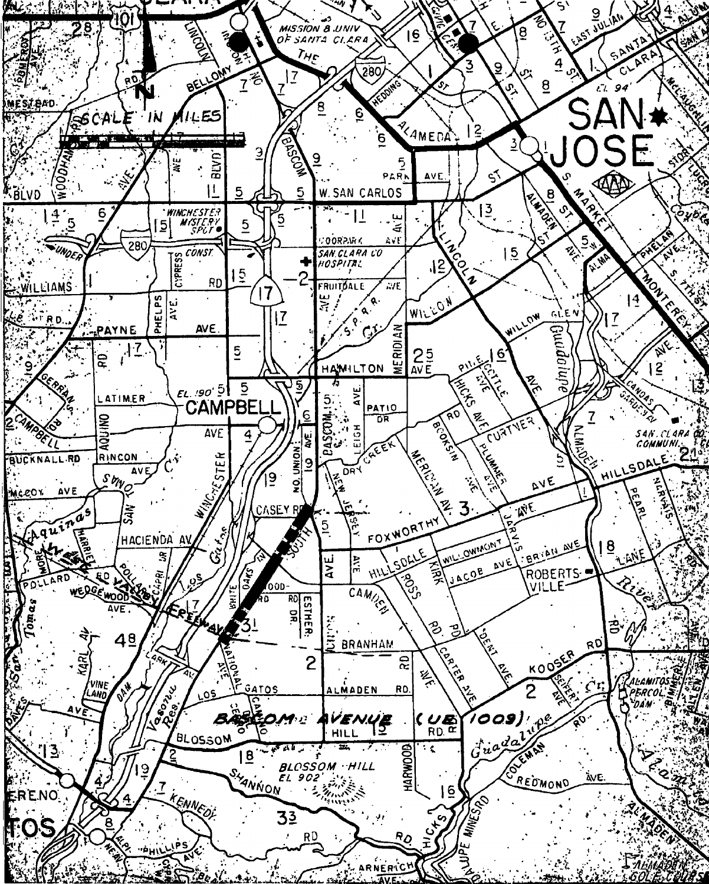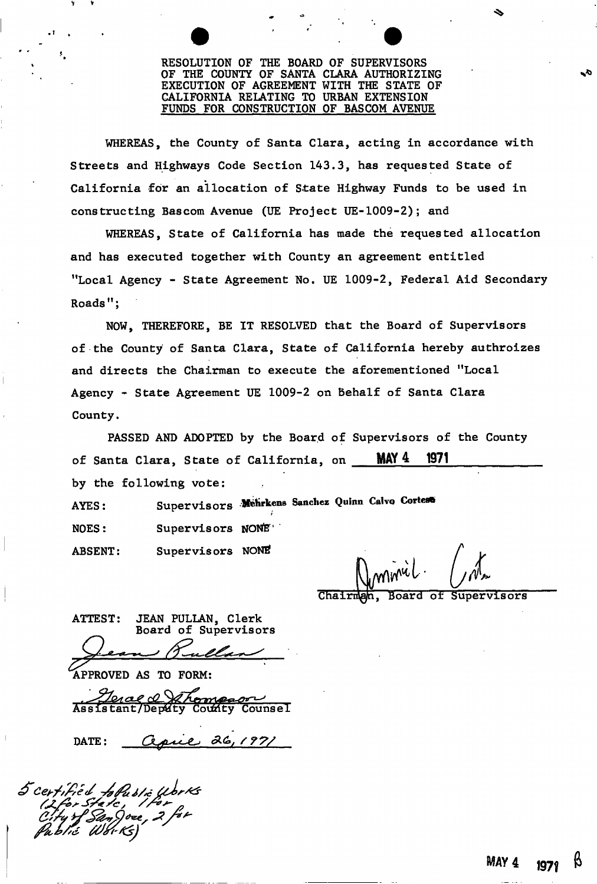## RESOLUTION OF THE BOARD OF SUPERVISORS OF THE COUNTY OF SANTA CLARA AUTHORIZING EXECUTION OF AGREEMENT WITH THE STATE OF CALIFORNIA RELATING TO URBAN EXTENSION FUNDS FOR CONSTRUCTION OF BASCOM AVENUE

WHEREAS, the County of Santa Clara, acting in accordance with Streets and Highways Code Section 143.3, has requested State of California for an allocation of State Highway Funds to be used in constructing Bascom Avenue (UE Project UE-1009-2); and

WHEREAS, State of California has made the requested allocation and has executed together with County an agreement entitled "Local Agency - State Agreement No. UE 1009-2, Federal Aid Secondary  $Roads$ ":

NOW, THEREFORE, BE IT RESOLVED that the Board of Supervisors of the County of Santa Clara, State of California hereby authroizes and directs the Chairman to execute the aforementioned "Local Agency - State Agreement UE 1009-2 on Behalf of Santa Clara County.

PASSED AND ADOPTED by the Board of Supervisors of the County of Santa Clara, State of California, on MAY 4 1971 by the following vote:

AYES: ABSENT: NOES: Mehrkens Sanchez Quinn Calvo Cortes® i Supervisors NONE<sup>.</sup> Supervisors NONE

minicl

Board of Supervisors Chairma

ATTEST: JEAN PULLAN, Clerk Board of Supervisors

**C** */T^L^^ U* **^** 

APPROVED AS TO FORM:<br>Approved the measure of the Country Counsel Assistant/Deputy

pril 26, 1971 DATE:

ed fofusie Works<br>State, Per<br>f SanJoee, 2 for

V v

 $\mathbf{r} = \mathbf{r}$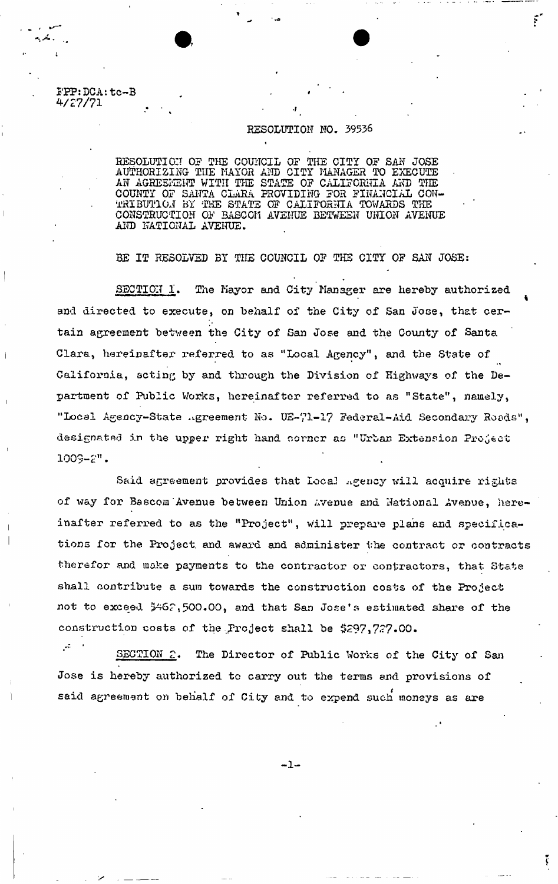FPP: DCA: tc-B **V27/71** 

## RESOLUTION NO. 39536

 $\mathbf{r}$ 

RESOLUTION OP THE COUNCIL OF THE CITY OP SAN JOSE AUTHORIZING TIIE MAYOR AND CITY MANAGER TO EXECUTE AN AGREEMENT WITH THE STATE OP CALIFORNIA AND THE COUNTY OP SAITTA CLARA PROVIDING POR FINANCIAL CON-TRIBUTION BY THE STATE OF CALIFORNIA TOWARDS THE CONSTRUCTION OP BASCCI1 AVENUE BETWEEN UNION AVENUE AND NATIONAL AVENUE.

1

BE IT RESOLVED BY THE COUNCIL OF THE CITY OF SAN JOSE:

**SECTION 1.** The Mayor and City Manager are hereby authorized **and directed to execute, on behalf of the City of San Jose, that certain agreement between the City of San Jose and the County of Santa Clara, hereinafter referred to as "Local Agency", and the State of California, acting by and through the Division of Highways of the Department of Public Works, hereinafter referred to as "State", namely, "Local Agency-State agreement** No. **UE-71-17 Federal-Aid Secondary Roads", designated in the upper right hand oorncr as "Urban Extension Project 1009-2".** 

Said agreement provides that Local Agency will acquire rights of way for Bascom Avenue between Union Avenue and National Avenue, hereinafter referred to as the "Project", Will prepare plans and specifications for the Project, and award and administer the contract or contracts therefor and make payments to the contractor or contractors, that State shall contribute a sum towards the construction costs of the Project not to exceed \$462,500.00, and that San Jose's estimated share of the construction costs of the Project shall be \$297,727.00.

 $\mathbf{w}^{\mathcal{I}}$ SECTION 2. The Director of Public Works of the City of San Jose is hereby authorized to carry out the terras and provisions of said agreement on behalf of City and to expend such moneys as are

 $-1-$